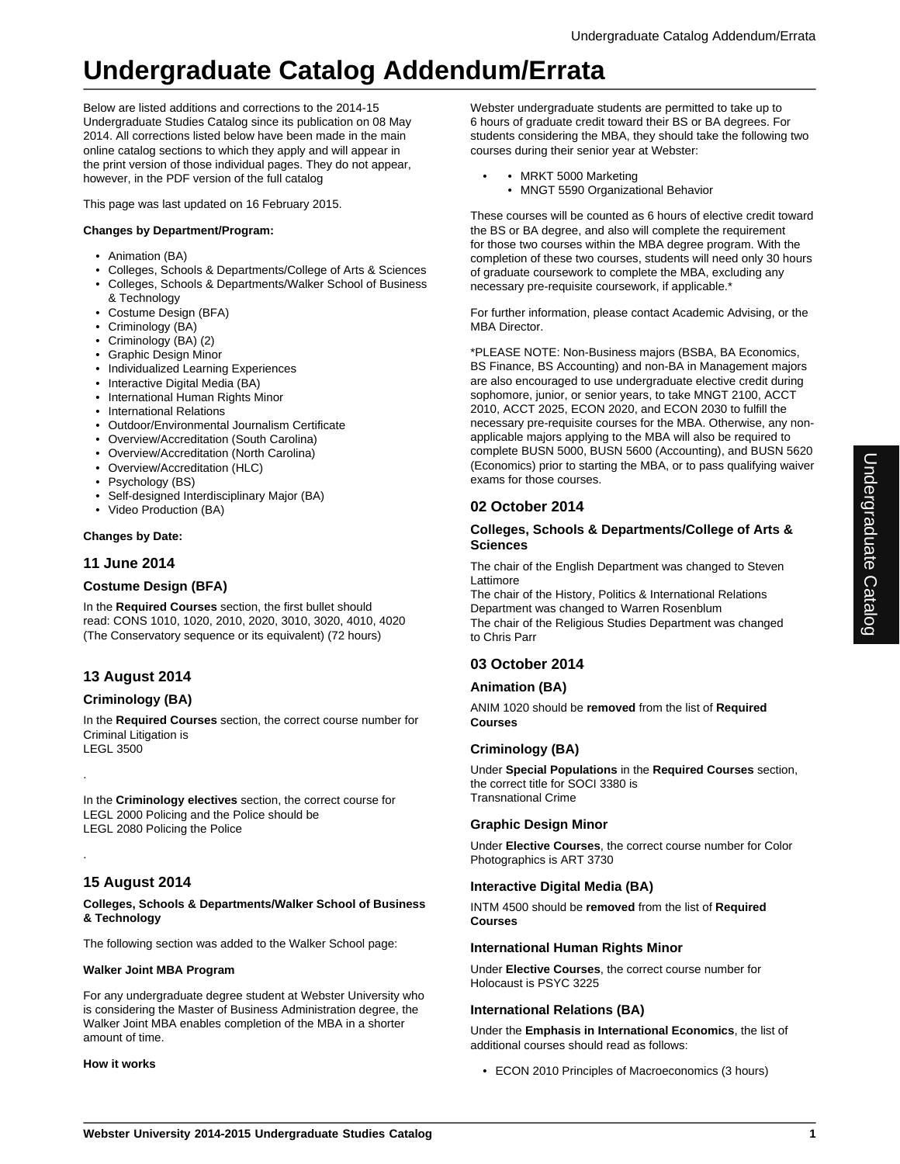# **Undergraduate Catalog Addendum/Errata**

Below are listed additions and corrections to the 2014-15 Undergraduate Studies Catalog since its publication on 08 May 2014. All corrections listed below have been made in the main online catalog sections to which they apply and will appear in the print version of those individual pages. They do not appear, however, in the PDF version of the full catalog

This page was last updated on 16 February 2015.

## **Changes by Department/Program:**

- Animation (BA)
- Colleges, Schools & Departments/College of Arts & Sciences
- Colleges, Schools & Departments/Walker School of Business & Technology
- Costume Design (BFA)
- Criminology (BA)
- Criminology (BA) (2)
- Graphic Design Minor
- Individualized Learning Experiences
- Interactive Digital Media (BA)
- International Human Rights Minor
- International Relations
- Outdoor/Environmental Journalism Certificate
- Overview/Accreditation (South Carolina)
- Overview/Accreditation (North Carolina)
- Overview/Accreditation (HLC)
- Psychology (BS)
- Self-designed Interdisciplinary Major (BA)
- Video Production (BA)

### **Changes by Date:**

## **11 June 2014**

# **Costume Design (BFA)**

In the **Required Courses** section, the first bullet should read: CONS 1010, 1020, 2010, 2020, 3010, 3020, 4010, 4020 (The Conservatory sequence or its equivalent) (72 hours)

# **13 August 2014**

## **Criminology (BA)**

.

.

In the **Required Courses** section, the correct course number for Criminal Litigation is LEGL 3500

In the **Criminology electives** section, the correct course for LEGL 2000 Policing and the Police should be LEGL 2080 Policing the Police

# **15 August 2014**

#### **Colleges, Schools & Departments/Walker School of Business & Technology**

The following section was added to the Walker School page:

### **Walker Joint MBA Program**

For any undergraduate degree student at Webster University who is considering the Master of Business Administration degree, the Walker Joint MBA enables completion of the MBA in a shorter amount of time.

### **How it works**

Webster undergraduate students are permitted to take up to 6 hours of graduate credit toward their BS or BA degrees. For students considering the MBA, they should take the following two courses during their senior year at Webster:

- MRKT 5000 Marketing
	- MNGT 5590 Organizational Behavior

These courses will be counted as 6 hours of elective credit toward the BS or BA degree, and also will complete the requirement for those two courses within the MBA degree program. With the completion of these two courses, students will need only 30 hours of graduate coursework to complete the MBA, excluding any necessary pre-requisite coursework, if applicable.\*

For further information, please contact Academic Advising, or the MBA Director.

\*PLEASE NOTE: Non-Business majors (BSBA, BA Economics, BS Finance, BS Accounting) and non-BA in Management majors are also encouraged to use undergraduate elective credit during sophomore, junior, or senior years, to take MNGT 2100, ACCT 2010, ACCT 2025, ECON 2020, and ECON 2030 to fulfill the necessary pre-requisite courses for the MBA. Otherwise, any nonapplicable majors applying to the MBA will also be required to complete BUSN 5000, BUSN 5600 (Accounting), and BUSN 5620 (Economics) prior to starting the MBA, or to pass qualifying waiver exams for those courses.

### **02 October 2014**

### **Colleges, Schools & Departments/College of Arts & Sciences**

The chair of the English Department was changed to Steven Lattimore

The chair of the History, Politics & International Relations Department was changed to Warren Rosenblum The chair of the Religious Studies Department was changed to Chris Parr

# **03 October 2014**

### **Animation (BA)**

ANIM 1020 should be **removed** from the list of **Required Courses**

### **Criminology (BA)**

Under **Special Populations** in the **Required Courses** section, the correct title for SOCI 3380 is Transnational Crime

### **Graphic Design Minor**

Under **Elective Courses**, the correct course number for Color Photographics is ART 3730

### **Interactive Digital Media (BA)**

INTM 4500 should be **removed** from the list of **Required Courses**

### **International Human Rights Minor**

Under **Elective Courses**, the correct course number for Holocaust is PSYC 3225

### **International Relations (BA)**

Under the **Emphasis in International Economics**, the list of additional courses should read as follows:

• ECON 2010 Principles of Macroeconomics (3 hours)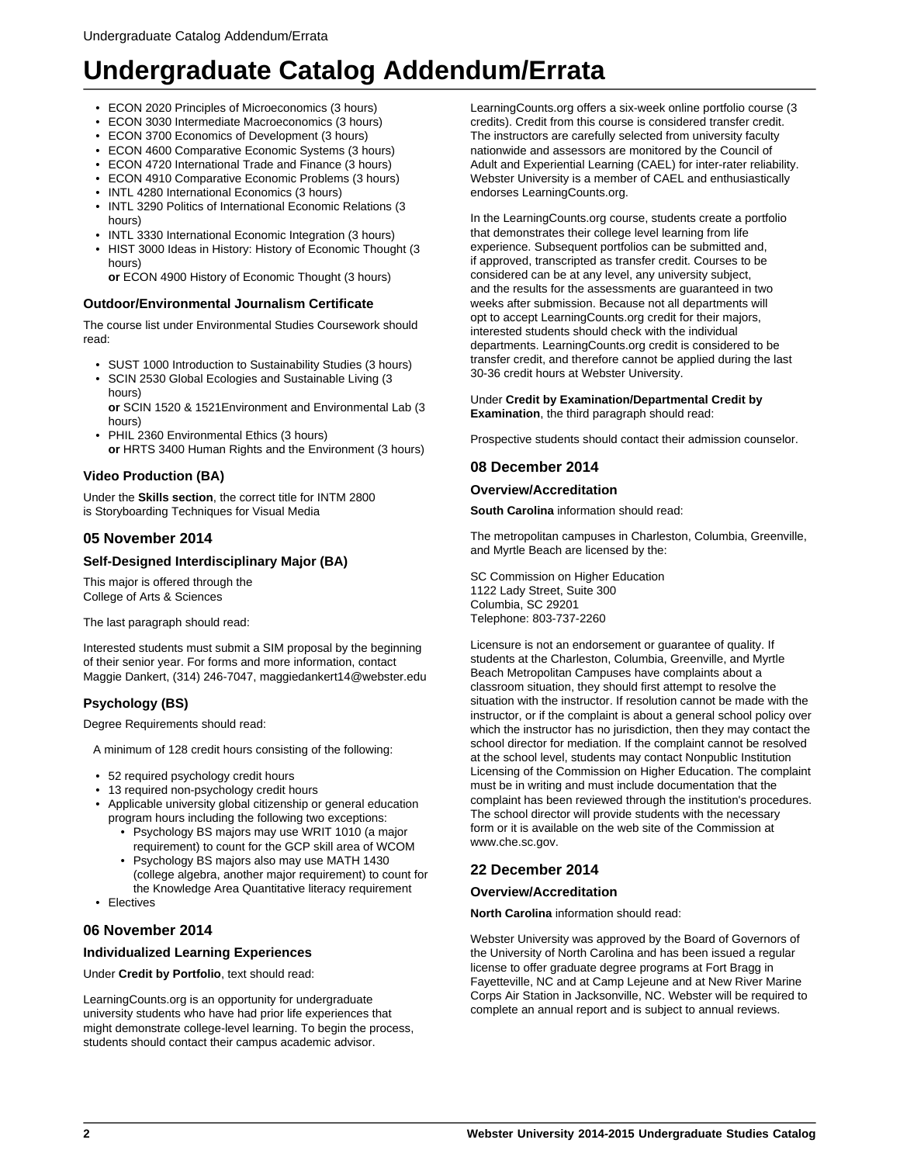# **Undergraduate Catalog Addendum/Errata**

- ECON 2020 Principles of Microeconomics (3 hours)
- ECON 3030 Intermediate Macroeconomics (3 hours)
- ECON 3700 Economics of Development (3 hours)
- ECON 4600 Comparative Economic Systems (3 hours)
- ECON 4720 International Trade and Finance (3 hours)
- ECON 4910 Comparative Economic Problems (3 hours)
- INTL 4280 International Economics (3 hours)
- INTL 3290 Politics of International Economic Relations (3 hours)
- INTL 3330 International Economic Integration (3 hours)
- HIST 3000 Ideas in History: History of Economic Thought (3 hours)

**or** ECON 4900 History of Economic Thought (3 hours)

### **Outdoor/Environmental Journalism Certificate**

The course list under Environmental Studies Coursework should read:

- SUST 1000 Introduction to Sustainability Studies (3 hours)
- SCIN 2530 Global Ecologies and Sustainable Living (3
- hours) **or** SCIN 1520 & 1521Environment and Environmental Lab (3
- hours) • PHIL 2360 Environmental Ethics (3 hours) **or** HRTS 3400 Human Rights and the Environment (3 hours)

### **Video Production (BA)**

Under the **Skills section**, the correct title for INTM 2800 is Storyboarding Techniques for Visual Media

### **05 November 2014**

### **Self-Designed Interdisciplinary Major (BA)**

This major is offered through the College of Arts & Sciences

The last paragraph should read:

Interested students must submit a SIM proposal by the beginning of their senior year. For forms and more information, contact Maggie Dankert, (314) 246-7047, maggiedankert14@webster.edu

### **Psychology (BS)**

Degree Requirements should read:

- A minimum of 128 credit hours consisting of the following:
- 52 required psychology credit hours
- 13 required non-psychology credit hours
- Applicable university global citizenship or general education program hours including the following two exceptions:
	- Psychology BS majors may use WRIT 1010 (a major requirement) to count for the GCP skill area of WCOM
	- Psychology BS majors also may use MATH 1430 (college algebra, another major requirement) to count for the Knowledge Area Quantitative literacy requirement
- Electives

### **06 November 2014**

### **Individualized Learning Experiences**

Under **Credit by Portfolio**, text should read:

LearningCounts.org is an opportunity for undergraduate university students who have had prior life experiences that might demonstrate college-level learning. To begin the process, students should contact their campus academic advisor.

LearningCounts.org offers a six-week online portfolio course (3 credits). Credit from this course is considered transfer credit. The instructors are carefully selected from university faculty nationwide and assessors are monitored by the Council of Adult and Experiential Learning (CAEL) for inter-rater reliability. Webster University is a member of CAEL and enthusiastically endorses LearningCounts.org.

In the LearningCounts.org course, students create a portfolio that demonstrates their college level learning from life experience. Subsequent portfolios can be submitted and, if approved, transcripted as transfer credit. Courses to be considered can be at any level, any university subject, and the results for the assessments are guaranteed in two weeks after submission. Because not all departments will opt to accept LearningCounts.org credit for their majors, interested students should check with the individual departments. LearningCounts.org credit is considered to be transfer credit, and therefore cannot be applied during the last 30-36 credit hours at Webster University.

#### Under **Credit by Examination/Departmental Credit by Examination**, the third paragraph should read:

Prospective students should contact their admission counselor.

### **08 December 2014**

#### **Overview/Accreditation**

**South Carolina** information should read:

The metropolitan campuses in Charleston, Columbia, Greenville, and Myrtle Beach are licensed by the:

SC Commission on Higher Education 1122 Lady Street, Suite 300 Columbia, SC 29201 Telephone: 803-737-2260

Licensure is not an endorsement or guarantee of quality. If students at the Charleston, Columbia, Greenville, and Myrtle Beach Metropolitan Campuses have complaints about a classroom situation, they should first attempt to resolve the situation with the instructor. If resolution cannot be made with the instructor, or if the complaint is about a general school policy over which the instructor has no jurisdiction, then they may contact the school director for mediation. If the complaint cannot be resolved at the school level, students may contact Nonpublic Institution Licensing of the Commission on Higher Education. The complaint must be in writing and must include documentation that the complaint has been reviewed through the institution's procedures. The school director will provide students with the necessary form or it is available on the web site of the Commission at www.che.sc.gov.

## **22 December 2014**

### **Overview/Accreditation**

**North Carolina** information should read:

Webster University was approved by the Board of Governors of the University of North Carolina and has been issued a regular license to offer graduate degree programs at Fort Bragg in Fayetteville, NC and at Camp Lejeune and at New River Marine Corps Air Station in Jacksonville, NC. Webster will be required to complete an annual report and is subject to annual reviews.